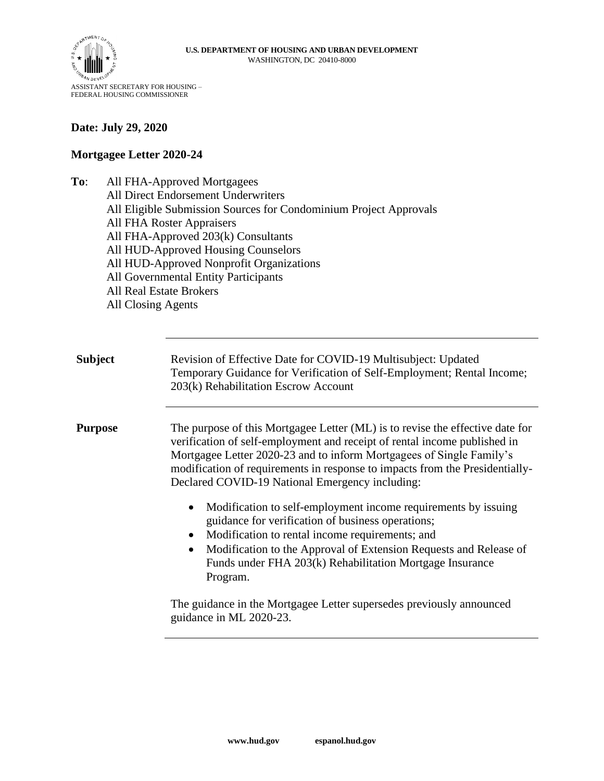

## **Date: July 29, 2020**

## **Mortgagee Letter 2020-24**

- **To**: All FHA-Approved Mortgagees
	- All Direct Endorsement Underwriters
	- All Eligible Submission Sources for Condominium Project Approvals
	- All FHA Roster Appraisers
	- All FHA-Approved 203(k) Consultants
	- All HUD-Approved Housing Counselors
	- All HUD-Approved Nonprofit Organizations
	- All Governmental Entity Participants
	- All Real Estate Brokers
	- All Closing Agents

**Subject** Revision of Effective Date for COVID-19 Multisubject: Updated Temporary Guidance for Verification of Self-Employment; Rental Income; 203(k) Rehabilitation Escrow Account

**Purpose** The purpose of this Mortgagee Letter (ML) is to revise the effective date for verification of self-employment and receipt of rental income published in Mortgagee Letter 2020-23 and to inform Mortgagees of Single Family's modification of requirements in response to impacts from the Presidentially-Declared COVID-19 National Emergency including:

- Modification to self-employment income requirements by issuing guidance for verification of business operations;
- Modification to rental income requirements; and
- Modification to the Approval of Extension Requests and Release of Funds under FHA 203(k) Rehabilitation Mortgage Insurance Program.

The guidance in the Mortgagee Letter supersedes previously announced guidance in ML 2020-23.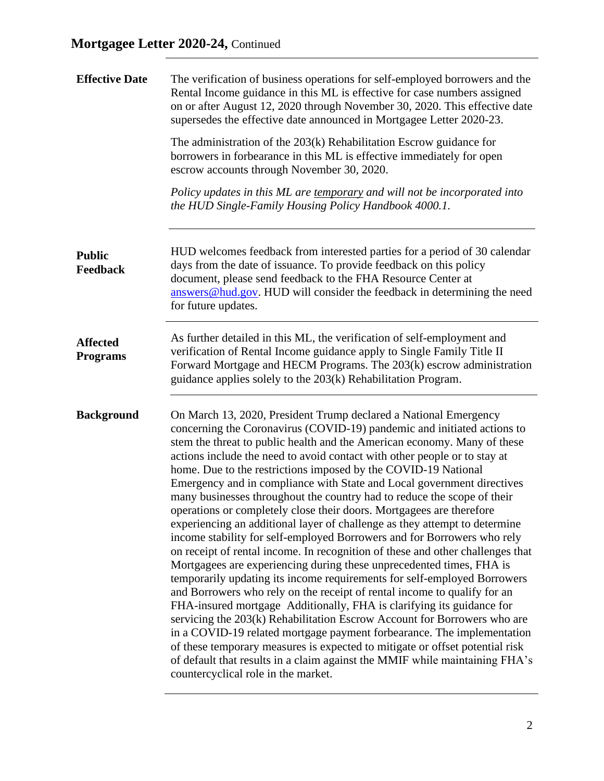| <b>Effective Date</b>              | The verification of business operations for self-employed borrowers and the<br>Rental Income guidance in this ML is effective for case numbers assigned<br>on or after August 12, 2020 through November 30, 2020. This effective date<br>supersedes the effective date announced in Mortgagee Letter 2020-23.                                                                                                                                                                                                                                                                                                                                                                                                                                                                                                                                                                                                                                                                                                                                                                                                                                                                                                                                                                                                                                                                                                                                                                                                       |
|------------------------------------|---------------------------------------------------------------------------------------------------------------------------------------------------------------------------------------------------------------------------------------------------------------------------------------------------------------------------------------------------------------------------------------------------------------------------------------------------------------------------------------------------------------------------------------------------------------------------------------------------------------------------------------------------------------------------------------------------------------------------------------------------------------------------------------------------------------------------------------------------------------------------------------------------------------------------------------------------------------------------------------------------------------------------------------------------------------------------------------------------------------------------------------------------------------------------------------------------------------------------------------------------------------------------------------------------------------------------------------------------------------------------------------------------------------------------------------------------------------------------------------------------------------------|
|                                    | The administration of the $203(k)$ Rehabilitation Escrow guidance for<br>borrowers in forbearance in this ML is effective immediately for open<br>escrow accounts through November 30, 2020.                                                                                                                                                                                                                                                                                                                                                                                                                                                                                                                                                                                                                                                                                                                                                                                                                                                                                                                                                                                                                                                                                                                                                                                                                                                                                                                        |
|                                    | Policy updates in this ML are temporary and will not be incorporated into<br>the HUD Single-Family Housing Policy Handbook 4000.1.                                                                                                                                                                                                                                                                                                                                                                                                                                                                                                                                                                                                                                                                                                                                                                                                                                                                                                                                                                                                                                                                                                                                                                                                                                                                                                                                                                                  |
| <b>Public</b><br>Feedback          | HUD welcomes feedback from interested parties for a period of 30 calendar<br>days from the date of issuance. To provide feedback on this policy<br>document, please send feedback to the FHA Resource Center at<br>answers@hud.gov. HUD will consider the feedback in determining the need<br>for future updates.                                                                                                                                                                                                                                                                                                                                                                                                                                                                                                                                                                                                                                                                                                                                                                                                                                                                                                                                                                                                                                                                                                                                                                                                   |
| <b>Affected</b><br><b>Programs</b> | As further detailed in this ML, the verification of self-employment and<br>verification of Rental Income guidance apply to Single Family Title II<br>Forward Mortgage and HECM Programs. The 203(k) escrow administration<br>guidance applies solely to the 203(k) Rehabilitation Program.                                                                                                                                                                                                                                                                                                                                                                                                                                                                                                                                                                                                                                                                                                                                                                                                                                                                                                                                                                                                                                                                                                                                                                                                                          |
| <b>Background</b>                  | On March 13, 2020, President Trump declared a National Emergency<br>concerning the Coronavirus (COVID-19) pandemic and initiated actions to<br>stem the threat to public health and the American economy. Many of these<br>actions include the need to avoid contact with other people or to stay at<br>home. Due to the restrictions imposed by the COVID-19 National<br>Emergency and in compliance with State and Local government directives<br>many businesses throughout the country had to reduce the scope of their<br>operations or completely close their doors. Mortgagees are therefore<br>experiencing an additional layer of challenge as they attempt to determine<br>income stability for self-employed Borrowers and for Borrowers who rely<br>on receipt of rental income. In recognition of these and other challenges that<br>Mortgagees are experiencing during these unprecedented times, FHA is<br>temporarily updating its income requirements for self-employed Borrowers<br>and Borrowers who rely on the receipt of rental income to qualify for an<br>FHA-insured mortgage Additionally, FHA is clarifying its guidance for<br>servicing the 203(k) Rehabilitation Escrow Account for Borrowers who are<br>in a COVID-19 related mortgage payment forbearance. The implementation<br>of these temporary measures is expected to mitigate or offset potential risk<br>of default that results in a claim against the MMIF while maintaining FHA's<br>countercyclical role in the market. |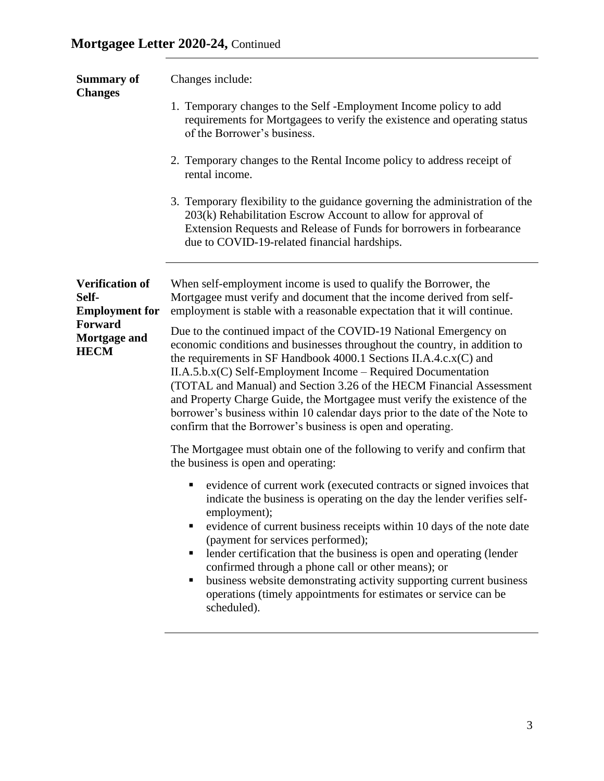| Changes include:                                                                                                                                                                                                                                                                                                                                                                                                                                                                                                                                                                           |
|--------------------------------------------------------------------------------------------------------------------------------------------------------------------------------------------------------------------------------------------------------------------------------------------------------------------------------------------------------------------------------------------------------------------------------------------------------------------------------------------------------------------------------------------------------------------------------------------|
| 1. Temporary changes to the Self-Employment Income policy to add<br>requirements for Mortgagees to verify the existence and operating status<br>of the Borrower's business.                                                                                                                                                                                                                                                                                                                                                                                                                |
| 2. Temporary changes to the Rental Income policy to address receipt of<br>rental income.                                                                                                                                                                                                                                                                                                                                                                                                                                                                                                   |
| 3. Temporary flexibility to the guidance governing the administration of the<br>203(k) Rehabilitation Escrow Account to allow for approval of<br>Extension Requests and Release of Funds for borrowers in forbearance<br>due to COVID-19-related financial hardships.                                                                                                                                                                                                                                                                                                                      |
| When self-employment income is used to qualify the Borrower, the<br>Mortgagee must verify and document that the income derived from self-<br>employment is stable with a reasonable expectation that it will continue.                                                                                                                                                                                                                                                                                                                                                                     |
| Due to the continued impact of the COVID-19 National Emergency on<br>economic conditions and businesses throughout the country, in addition to<br>the requirements in SF Handbook 4000.1 Sections II.A.4.c.x(C) and<br>$II.A.5.b.x(C)$ Self-Employment Income – Required Documentation<br>(TOTAL and Manual) and Section 3.26 of the HECM Financial Assessment<br>and Property Charge Guide, the Mortgagee must verify the existence of the<br>borrower's business within 10 calendar days prior to the date of the Note to<br>confirm that the Borrower's business is open and operating. |
| The Mortgagee must obtain one of the following to verify and confirm that<br>the business is open and operating:                                                                                                                                                                                                                                                                                                                                                                                                                                                                           |
| evidence of current work (executed contracts or signed invoices that<br>п<br>indicate the business is operating on the day the lender verifies self-<br>employment);<br>evidence of current business receipts within 10 days of the note date<br>п<br>(payment for services performed);<br>lender certification that the business is open and operating (lender<br>٠<br>confirmed through a phone call or other means); or<br>business website demonstrating activity supporting current business<br>ш<br>operations (timely appointments for estimates or service can be<br>scheduled).   |
|                                                                                                                                                                                                                                                                                                                                                                                                                                                                                                                                                                                            |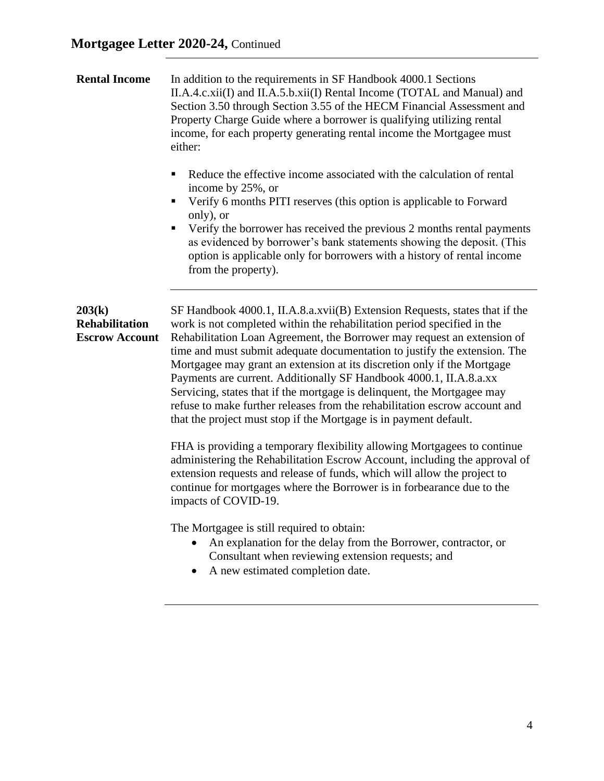| <b>Rental Income</b>                                     | In addition to the requirements in SF Handbook 4000.1 Sections<br>II.A.4.c.xii(I) and II.A.5.b.xii(I) Rental Income (TOTAL and Manual) and<br>Section 3.50 through Section 3.55 of the HECM Financial Assessment and<br>Property Charge Guide where a borrower is qualifying utilizing rental<br>income, for each property generating rental income the Mortgagee must<br>either:                                                                                                                                                                                                                                                                                                                                                                                                                                                                                                                                                                                                                                                                                                                                                                                                                                                              |
|----------------------------------------------------------|------------------------------------------------------------------------------------------------------------------------------------------------------------------------------------------------------------------------------------------------------------------------------------------------------------------------------------------------------------------------------------------------------------------------------------------------------------------------------------------------------------------------------------------------------------------------------------------------------------------------------------------------------------------------------------------------------------------------------------------------------------------------------------------------------------------------------------------------------------------------------------------------------------------------------------------------------------------------------------------------------------------------------------------------------------------------------------------------------------------------------------------------------------------------------------------------------------------------------------------------|
|                                                          | Reduce the effective income associated with the calculation of rental<br>٠<br>income by 25%, or<br>Verify 6 months PITI reserves (this option is applicable to Forward<br>only), or<br>Verify the borrower has received the previous 2 months rental payments<br>п<br>as evidenced by borrower's bank statements showing the deposit. (This<br>option is applicable only for borrowers with a history of rental income<br>from the property).                                                                                                                                                                                                                                                                                                                                                                                                                                                                                                                                                                                                                                                                                                                                                                                                  |
| 203(k)<br><b>Rehabilitation</b><br><b>Escrow Account</b> | SF Handbook 4000.1, II.A.8.a.xvii(B) Extension Requests, states that if the<br>work is not completed within the rehabilitation period specified in the<br>Rehabilitation Loan Agreement, the Borrower may request an extension of<br>time and must submit adequate documentation to justify the extension. The<br>Mortgagee may grant an extension at its discretion only if the Mortgage<br>Payments are current. Additionally SF Handbook 4000.1, II.A.8.a.xx<br>Servicing, states that if the mortgage is delinquent, the Mortgagee may<br>refuse to make further releases from the rehabilitation escrow account and<br>that the project must stop if the Mortgage is in payment default.<br>FHA is providing a temporary flexibility allowing Mortgagees to continue<br>administering the Rehabilitation Escrow Account, including the approval of<br>extension requests and release of funds, which will allow the project to<br>continue for mortgages where the Borrower is in forbearance due to the<br>impacts of COVID-19.<br>The Mortgagee is still required to obtain:<br>An explanation for the delay from the Borrower, contractor, or<br>Consultant when reviewing extension requests; and<br>A new estimated completion date. |